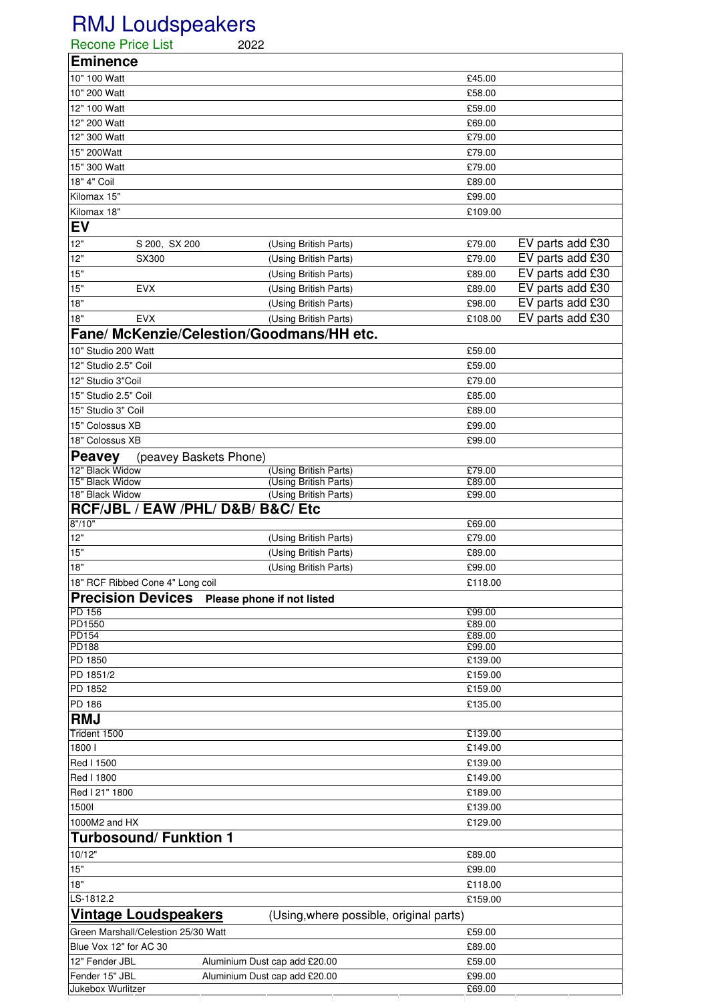## RMJ Loudspeakers

| <b>Recone Price List</b>                                                                | 2022                             |                               |                  |                  |
|-----------------------------------------------------------------------------------------|----------------------------------|-------------------------------|------------------|------------------|
| <b>Eminence</b>                                                                         |                                  |                               |                  |                  |
| 10" 100 Watt                                                                            |                                  |                               | £45.00           |                  |
| 10" 200 Watt                                                                            |                                  |                               | £58.00           |                  |
| 12" 100 Watt                                                                            |                                  |                               | £59.00           |                  |
| 12" 200 Watt                                                                            |                                  |                               | £69.00           |                  |
| 12" 300 Watt                                                                            |                                  |                               | £79.00           |                  |
| 15" 200Watt                                                                             |                                  |                               | £79.00           |                  |
| 15" 300 Watt                                                                            |                                  |                               | £79.00           |                  |
| 18" 4" Coil                                                                             |                                  |                               | £89.00           |                  |
| Kilomax 15"                                                                             |                                  |                               | £99.00           |                  |
| Kilomax 18"                                                                             |                                  |                               | £109.00          |                  |
| <b>EV</b>                                                                               |                                  |                               |                  |                  |
| 12"                                                                                     | S 200, SX 200                    | (Using British Parts)         | £79.00           | EV parts add £30 |
| 12"                                                                                     | SX300                            | (Using British Parts)         | £79.00           | EV parts add £30 |
| 15"                                                                                     |                                  | (Using British Parts)         | £89.00           | EV parts add £30 |
| 15"                                                                                     | <b>EVX</b>                       | (Using British Parts)         | £89.00           | EV parts add £30 |
| 18"                                                                                     |                                  | (Using British Parts)         | £98.00           | EV parts add £30 |
| 18"                                                                                     | <b>EVX</b>                       | (Using British Parts)         | £108.00          | EV parts add £30 |
| Fane/ McKenzie/Celestion/Goodmans/HH etc.                                               |                                  |                               |                  |                  |
| 10" Studio 200 Watt                                                                     |                                  |                               | £59.00           |                  |
| 12" Studio 2.5" Coil                                                                    |                                  |                               | £59.00           |                  |
| 12" Studio 3"Coil                                                                       |                                  |                               | £79.00           |                  |
| 15" Studio 2.5" Coil                                                                    |                                  |                               | £85.00           |                  |
| 15" Studio 3" Coil                                                                      |                                  |                               | £89.00           |                  |
| 15" Colossus XB                                                                         |                                  |                               | £99.00           |                  |
| 18" Colossus XB                                                                         |                                  |                               | £99.00           |                  |
| <b>Peavey</b>                                                                           | (peavey Baskets Phone)           |                               |                  |                  |
| 12" Black Widow                                                                         |                                  | (Using British Parts)         | £79.00           |                  |
| 15" Black Widow                                                                         |                                  | (Using British Parts)         | £89.00           |                  |
| 18" Black Widow<br>(Using British Parts)<br>£99.00<br>RCF/JBL / EAW /PHL/ D&B/ B&C/ Etc |                                  |                               |                  |                  |
| 8" / 10"                                                                                |                                  |                               | £69.00           |                  |
| 12"                                                                                     |                                  | (Using British Parts)         | £79.00           |                  |
| 15"                                                                                     |                                  | (Using British Parts)         | £89.00           |                  |
| 18"                                                                                     |                                  | (Using British Parts)         | £99.00           |                  |
|                                                                                         | 18" RCF Ribbed Cone 4" Long coil |                               | £118.00          |                  |
| <b>Precision Devices</b><br>Please phone if not listed                                  |                                  |                               |                  |                  |
| <b>PD 156</b><br>£99.00                                                                 |                                  |                               |                  |                  |
| PD1550                                                                                  |                                  |                               | £89.00           |                  |
| <b>PD154</b><br><b>PD188</b>                                                            |                                  |                               | £89.00<br>£99.00 |                  |
| PD 1850                                                                                 |                                  |                               | £139.00          |                  |
| PD 1851/2                                                                               |                                  |                               | £159.00          |                  |
| PD 1852                                                                                 |                                  |                               | £159.00          |                  |
| PD 186                                                                                  |                                  |                               | £135.00          |                  |
| <b>RMJ</b>                                                                              |                                  |                               |                  |                  |
| Trident 1500                                                                            |                                  |                               | £139.00          |                  |
| 18001                                                                                   |                                  |                               | £149.00          |                  |
| Red I 1500                                                                              |                                  |                               | £139.00          |                  |
| Red I 1800                                                                              |                                  |                               | £149.00          |                  |
| Red I 21" 1800                                                                          |                                  |                               | £189.00          |                  |
| 15001                                                                                   |                                  |                               | £139.00          |                  |
| 1000M2 and HX                                                                           |                                  |                               | £129.00          |                  |
|                                                                                         | <b>Turbosound/ Funktion 1</b>    |                               |                  |                  |
| 10/12"                                                                                  |                                  |                               | £89.00           |                  |
| $15"$                                                                                   |                                  |                               | £99.00           |                  |
| 18"                                                                                     |                                  |                               | £118.00          |                  |
| LS-1812.2                                                                               |                                  |                               | £159.00          |                  |
| <b>Vintage Loudspeakers</b><br>(Using, where possible, original parts)                  |                                  |                               |                  |                  |
| Green Marshall/Celestion 25/30 Watt<br>£59.00                                           |                                  |                               |                  |                  |
| Blue Vox 12" for AC 30                                                                  |                                  |                               | £89.00           |                  |
| 12" Fender JBL                                                                          |                                  | Aluminium Dust cap add £20.00 | £59.00           |                  |
| Fender 15" JBL                                                                          |                                  | Aluminium Dust cap add £20.00 | £99.00           |                  |
| Jukebox Wurlitzer                                                                       |                                  |                               | £69.00           |                  |